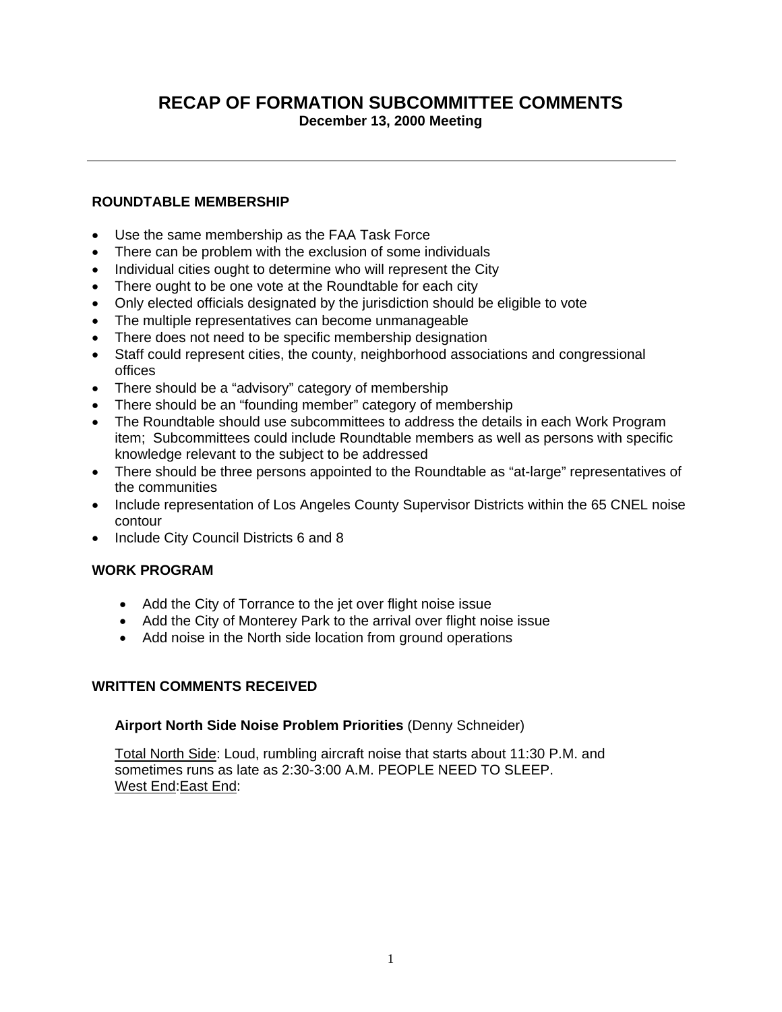# **RECAP OF FORMATION SUBCOMMITTEE COMMENTS December 13, 2000 Meeting**

## **ROUNDTABLE MEMBERSHIP**

- Use the same membership as the FAA Task Force
- There can be problem with the exclusion of some individuals
- Individual cities ought to determine who will represent the City
- There ought to be one vote at the Roundtable for each city
- Only elected officials designated by the jurisdiction should be eligible to vote
- The multiple representatives can become unmanageable
- There does not need to be specific membership designation
- Staff could represent cities, the county, neighborhood associations and congressional offices
- There should be a "advisory" category of membership
- There should be an "founding member" category of membership
- The Roundtable should use subcommittees to address the details in each Work Program item; Subcommittees could include Roundtable members as well as persons with specific knowledge relevant to the subject to be addressed
- There should be three persons appointed to the Roundtable as "at-large" representatives of the communities
- Include representation of Los Angeles County Supervisor Districts within the 65 CNEL noise contour
- Include City Council Districts 6 and 8

### **WORK PROGRAM**

- Add the City of Torrance to the jet over flight noise issue
- Add the City of Monterey Park to the arrival over flight noise issue
- Add noise in the North side location from ground operations

### **WRITTEN COMMENTS RECEIVED**

#### **Airport North Side Noise Problem Priorities** (Denny Schneider)

Total North Side: Loud, rumbling aircraft noise that starts about 11:30 P.M. and sometimes runs as late as 2:30-3:00 A.M. PEOPLE NEED TO SLEEP. West End:East End: